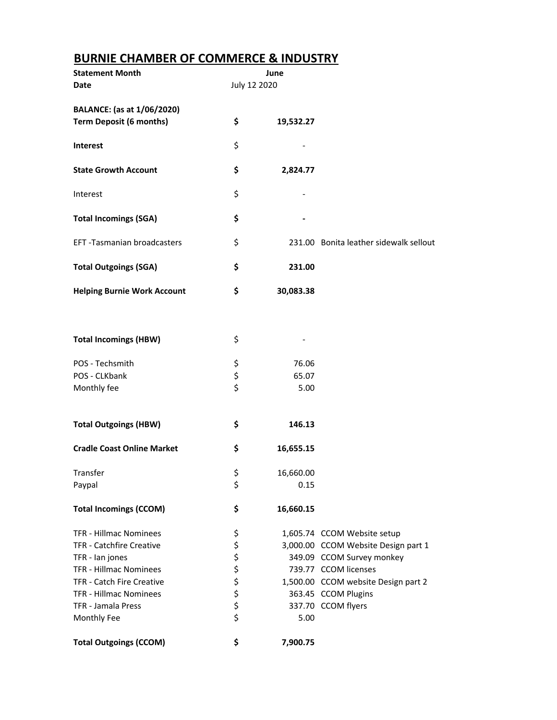## **BURNIE CHAMBER OF COMMERCE & INDUSTRY**

| <b>Statement Month</b><br>Date                               | July 12 2020 | June      |                                        |
|--------------------------------------------------------------|--------------|-----------|----------------------------------------|
| BALANCE: (as at 1/06/2020)<br><b>Term Deposit (6 months)</b> | \$           | 19,532.27 |                                        |
| <b>Interest</b>                                              | \$           |           |                                        |
| <b>State Growth Account</b>                                  | \$           | 2,824.77  |                                        |
| Interest                                                     | \$           |           |                                        |
| <b>Total Incomings (SGA)</b>                                 | \$           |           |                                        |
| EFT-Tasmanian broadcasters                                   | \$           |           | 231.00 Bonita leather sidewalk sellout |
| <b>Total Outgoings (SGA)</b>                                 | \$           | 231.00    |                                        |
| <b>Helping Burnie Work Account</b>                           | \$           | 30,083.38 |                                        |
|                                                              |              |           |                                        |
| <b>Total Incomings (HBW)</b>                                 | \$           |           |                                        |
| POS - Techsmith                                              | \$           | 76.06     |                                        |
| POS - CLKbank                                                | \$           | 65.07     |                                        |
| Monthly fee                                                  | \$           | 5.00      |                                        |
| <b>Total Outgoings (HBW)</b>                                 | \$           | 146.13    |                                        |
| <b>Cradle Coast Online Market</b>                            | \$           | 16,655.15 |                                        |
| Transfer                                                     | \$           | 16,660.00 |                                        |
| Paypal                                                       | \$           | 0.15      |                                        |
| <b>Total Incomings (CCOM)</b>                                | \$           | 16,660.15 |                                        |
| <b>TFR - Hillmac Nominees</b>                                | \$           |           | 1,605.74 CCOM Website setup            |
| <b>TFR - Catchfire Creative</b>                              | \$           |           | 3,000.00 CCOM Website Design part 1    |
| TFR - Ian jones                                              |              |           | 349.09 CCOM Survey monkey              |
| <b>TFR - Hillmac Nominees</b>                                | \$\$\$       |           | 739.77 CCOM licenses                   |
| TFR - Catch Fire Creative                                    |              |           | 1,500.00 CCOM website Design part 2    |
| TFR - Hillmac Nominees                                       | \$           |           | 363.45 CCOM Plugins                    |
| TFR - Jamala Press                                           | \$           |           | 337.70 CCOM flyers                     |
| Monthly Fee                                                  | \$           | 5.00      |                                        |
| <b>Total Outgoings (CCOM)</b>                                | \$           | 7,900.75  |                                        |